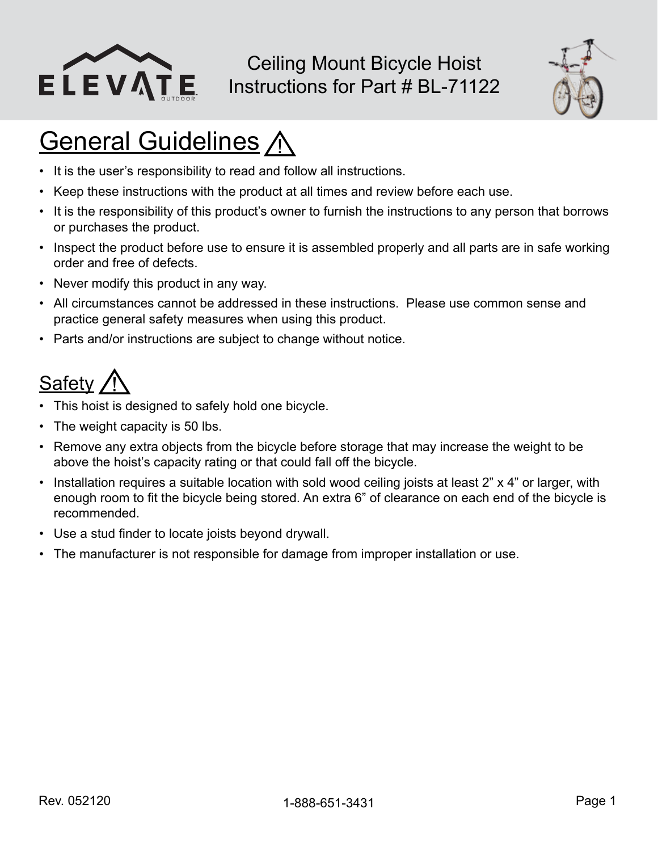

Ceiling Mount Bicycle Hoist Instructions for Part # BL-71122



# **General Guidelines A**

- It is the user's responsibility to read and follow all instructions.
- Keep these instructions with the product at all times and review before each use.
- It is the responsibility of this product's owner to furnish the instructions to any person that borrows or purchases the product.
- Inspect the product before use to ensure it is assembled properly and all parts are in safe working order and free of defects.
- Never modify this product in any way.
- All circumstances cannot be addressed in these instructions. Please use common sense and practice general safety measures when using this product.
- Parts and/or instructions are subject to change without notice.

#### **Safety**

- This hoist is designed to safely hold one bicycle.
- The weight capacity is 50 lbs.
- Remove any extra objects from the bicycle before storage that may increase the weight to be above the hoist's capacity rating or that could fall off the bicycle.
- Installation requires a suitable location with sold wood ceiling joists at least 2" x 4" or larger, with enough room to fit the bicycle being stored. An extra 6" of clearance on each end of the bicycle is recommended.
- Use a stud finder to locate joists beyond drywall.
- The manufacturer is not responsible for damage from improper installation or use.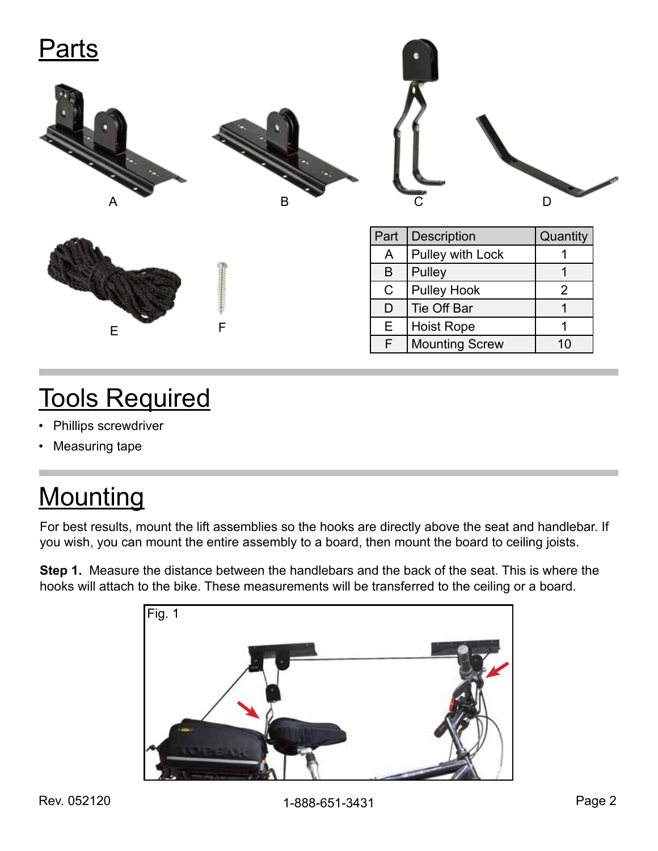| Parts       |   |              |                       |                |  |
|-------------|---|--------------|-----------------------|----------------|--|
| A           | B |              | C                     | D              |  |
|             |   | Part         | Description           | Quantity       |  |
|             |   | $\mathsf{A}$ | Pulley with Lock      | 1              |  |
|             |   | $\sf B$      | Pulley                | $\mathbf{1}$   |  |
|             |   | $\mathsf C$  | <b>Pulley Hook</b>    | $\overline{2}$ |  |
|             |   | D            | Tie Off Bar           | $\mathbf 1$    |  |
| $\mathsf E$ | F | E            | <b>Hoist Rope</b>     | 1              |  |
|             |   | F            | <b>Mounting Screw</b> | 10             |  |

# Tools Required

- Phillips screwdriver
- Measuring tape

# **Mounting**

For best results, mount the lift assemblies so the hooks are directly above the seat and handlebar. If you wish, you can mount the entire assembly to a board, then mount the board to ceiling joists.

**Step 1.** Measure the distance between the handlebars and the back of the seat. This is where the hooks will attach to the bike. These measurements will be transferred to the ceiling or a board.

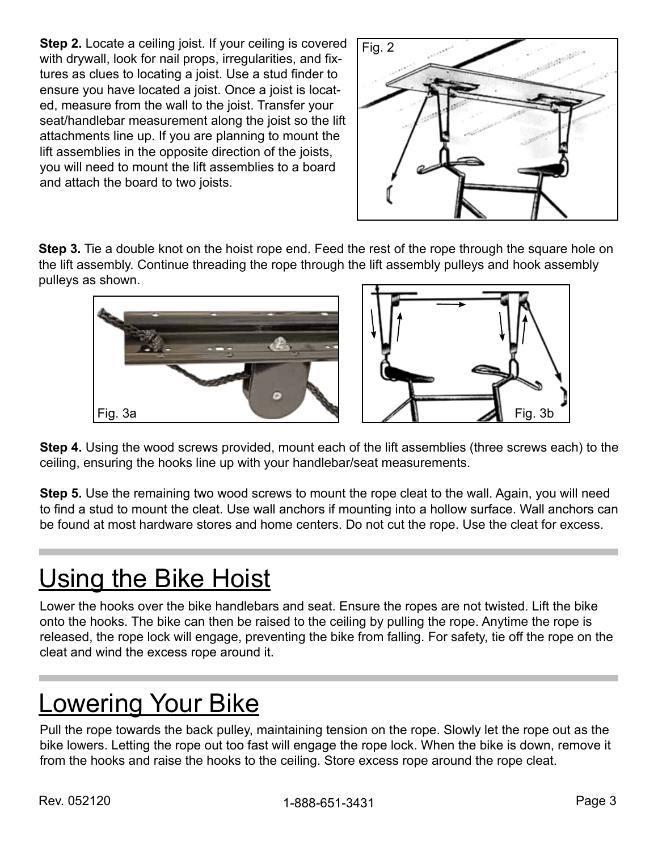**Step 2.** Locate a ceiling joist. If your ceiling is covered with drywall, look for nail props, irregularities, and fixtures as clues to locating a joist. Use a stud finder to ensure you have located a joist. Once a joist is located, measure from the wall to the joist. Transfer your seat/handlebar measurement along the joist so the lift attachments line up. If you are planning to mount the lift assemblies in the opposite direction of the joists, you will need to mount the lift assemblies to a board and attach the board to two joists.



**Step 3.** Tie a double knot on the hoist rope end. Feed the rest of the rope through the square hole on the lift assembly. Continue threading the rope through the lift assembly pulleys and hook assembly pulleys as shown.





**Step 4.** Using the wood screws provided, mount each of the lift assemblies (three screws each) to the ceiling, ensuring the hooks line up with your handlebar/seat measurements.

**Step 5.** Use the remaining two wood screws to mount the rope cleat to the wall. Again, you will need to find a stud to mount the cleat. Use wall anchors if mounting into a hollow surface. Wall anchors can be found at most hardware stores and home centers. Do not cut the rope. Use the cleat for excess.

## Using the Bike Hoist

Lower the hooks over the bike handlebars and seat. Ensure the ropes are not twisted. Lift the bike onto the hooks. The bike can then be raised to the ceiling by pulling the rope. Anytime the rope is released, the rope lock will engage, preventing the bike from falling. For safety, tie off the rope on the cleat and wind the excess rope around it.

# Lowering Your Bike

Pull the rope towards the back pulley, maintaining tension on the rope. Slowly let the rope out as the bike lowers. Letting the rope out too fast will engage the rope lock. When the bike is down, remove it from the hooks and raise the hooks to the ceiling. Store excess rope around the rope cleat.